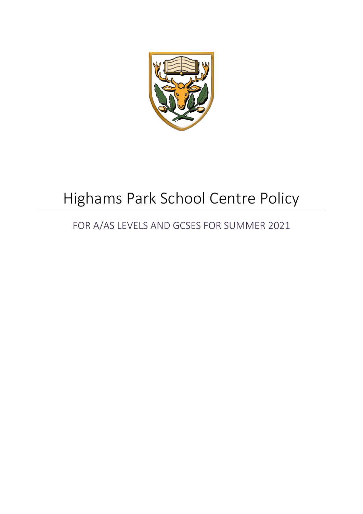

# Highams Park School Centre Policy

## FOR A/AS LEVELS AND GCSES FOR SUMMER 2021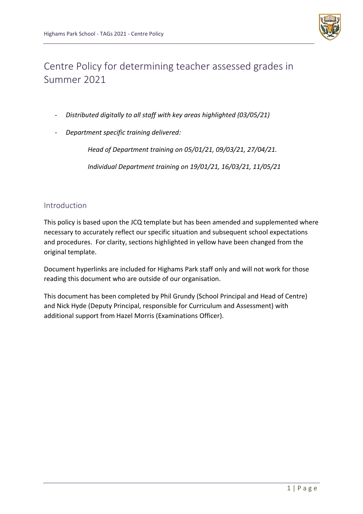

## Centre Policy for determining teacher assessed grades in Summer 2021

- *Distributed digitally to all staff with key areas highlighted (03/05/21)*
- *Department specific training delivered:*

*Head of Department training on 05/01/21, 09/03/21, 27/04/21. Individual Department training on 19/01/21, 16/03/21, 11/05/21*

## Introduction

This policy is based upon the JCQ template but has been amended and supplemented where necessary to accurately reflect our specific situation and subsequent school expectations and procedures. For clarity, sections highlighted in yellow have been changed from the original template.

Document hyperlinks are included for Highams Park staff only and will not work for those reading this document who are outside of our organisation.

This document has been completed by Phil Grundy (School Principal and Head of Centre) and Nick Hyde (Deputy Principal, responsible for Curriculum and Assessment) with additional support from Hazel Morris (Examinations Officer).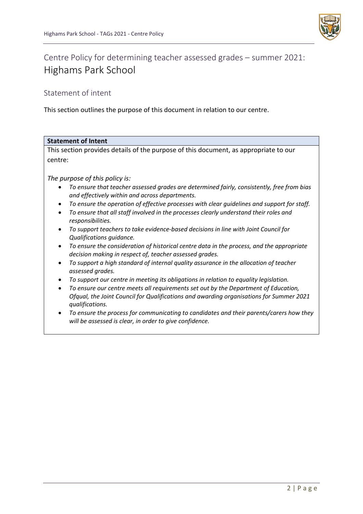

## Centre Policy for determining teacher assessed grades – summer 2021: Highams Park School

## Statement of intent

This section outlines the purpose of this document in relation to our centre.

| <b>Statement of Intent</b>                                                                                                                                |  |
|-----------------------------------------------------------------------------------------------------------------------------------------------------------|--|
| This section provides details of the purpose of this document, as appropriate to our                                                                      |  |
| centre:                                                                                                                                                   |  |
|                                                                                                                                                           |  |
| The purpose of this policy is:                                                                                                                            |  |
| To ensure that teacher assessed grades are determined fairly, consistently, free from bias<br>and effectively within and across departments.              |  |
| To ensure the operation of effective processes with clear guidelines and support for staff.<br>٠                                                          |  |
| To ensure that all staff involved in the processes clearly understand their roles and<br>$\bullet$<br>responsibilities.                                   |  |
| To support teachers to take evidence-based decisions in line with Joint Council for<br>Qualifications guidance.                                           |  |
| To ensure the consideration of historical centre data in the process, and the appropriate<br>٠<br>decision making in respect of, teacher assessed grades. |  |
| To support a high standard of internal quality assurance in the allocation of teacher<br>assessed grades.                                                 |  |
| To support our centre in meeting its obligations in relation to equality legislation.                                                                     |  |
| To ensure our centre meets all requirements set out by the Department of Education,                                                                       |  |
| Ofqual, the Joint Council for Qualifications and awarding organisations for Summer 2021<br>qualifications.                                                |  |
| To ensure the process for communicating to candidates and their parents/carers how they<br>will be assessed is clear, in order to give confidence.        |  |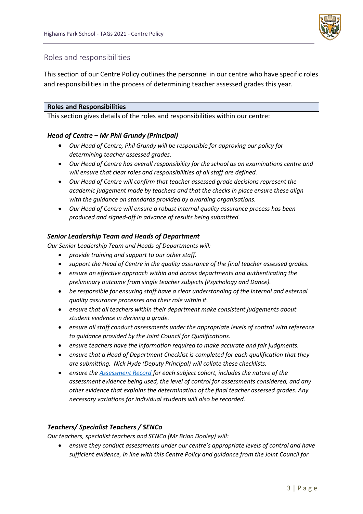

## Roles and responsibilities

This section of our Centre Policy outlines the personnel in our centre who have specific roles and responsibilities in the process of determining teacher assessed grades this year.

#### **Roles and Responsibilities**

This section gives details of the roles and responsibilities within our centre:

## *Head of Centre – Mr Phil Grundy (Principal)*

- *Our Head of Centre, Phil Grundy will be responsible for approving our policy for determining teacher assessed grades.*
- *Our Head of Centre has overall responsibility for the school as an examinations centre and will ensure that clear roles and responsibilities of all staff are defined.*
- *Our Head of Centre will confirm that teacher assessed grade decisions represent the academic judgement made by teachers and that the checks in place ensure these align with the guidance on standards provided by awarding organisations.*
- *Our Head of Centre will ensure a robust internal quality assurance process has been produced and signed-off in advance of results being submitted.*

## *Senior Leadership Team and Heads of Department*

*Our Senior Leadership Team and Heads of Departments will:*

- *provide training and support to our other staff.*
- *support the Head of Centre in the quality assurance of the final teacher assessed grades.*
- *ensure an effective approach within and across departments and authenticating the preliminary outcome from single teacher subjects (Psychology and Dance).*
- *be responsible for ensuring staff have a clear understanding of the internal and external quality assurance processes and their role within it.*
- *ensure that all teachers within their department make consistent judgements about student evidence in deriving a grade.*
- *ensure all staff conduct assessments under the appropriate levels of control with reference to guidance provided by the Joint Council for Qualifications.*
- *ensure teachers have the information required to make accurate and fair judgments.*
- *ensure that a Head of Department Checklist is completed for each qualification that they are submitting. Nick Hyde (Deputy Principal) will collate these checklists.*
- *ensure the [Assessment Record](https://highamspark.sharepoint.com/sites/hoddocuments/Shared%20Documents/Forms/AllItems.aspx?viewid=0b7a50d2%2Da461%2D4f89%2D863b%2D667a2c3fa4ef&id=%2Fsites%2Fhoddocuments%2FShared%20Documents%2FIn%2DYear%20Tracking%20Data) for each subject cohort, includes the nature of the assessment evidence being used, the level of control for assessments considered, and any other evidence that explains the determination of the final teacher assessed grades. Any necessary variations for individual students will also be recorded.*

#### *Teachers/ Specialist Teachers / SENCo*

*Our teachers, specialist teachers and SENCo (Mr Brian Dooley) will:*

• *ensure they conduct assessments under our centre's appropriate levels of control and have sufficient evidence, in line with this Centre Policy and guidance from the Joint Council for*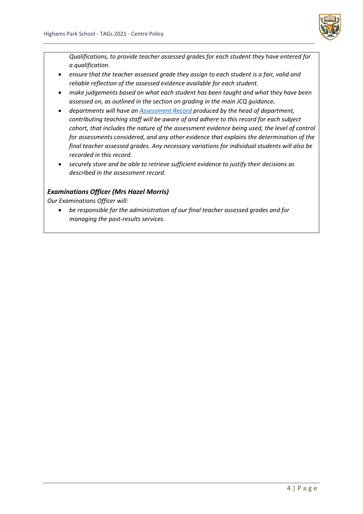

*Qualifications, to provide teacher assessed grades for each student they have entered for a qualification.*

- *ensure that the teacher assessed grade they assign to each student is a fair, valid and reliable reflection of the assessed evidence available for each student.*
- *make judgements based on what each student has been taught and what they have been assessed on, as outlined in the section on grading in the main JCQ guidance.*
- *departments will have an [Assessment Record](https://highamspark.sharepoint.com/sites/hoddocuments/Shared%20Documents/Forms/AllItems.aspx?viewid=0b7a50d2%2Da461%2D4f89%2D863b%2D667a2c3fa4ef&id=%2Fsites%2Fhoddocuments%2FShared%20Documents%2FIn%2DYear%20Tracking%20Data) produced by the head of department, contributing teaching staff will be aware of and adhere to this record for each subject cohort, that includes the nature of the assessment evidence being used, the level of control for assessments considered, and any other evidence that explains the determination of the final teacher assessed grades. Any necessary variations for individual students will also be recorded in this record.*
- *securely store and be able to retrieve sufficient evidence to justify their decisions as described in the assessment record.*

## *Examinations Officer (Mrs Hazel Morris)*

*Our Examinations Officer will:*

• *be responsible for the administration of our final teacher assessed grades and for managing the post-results services.*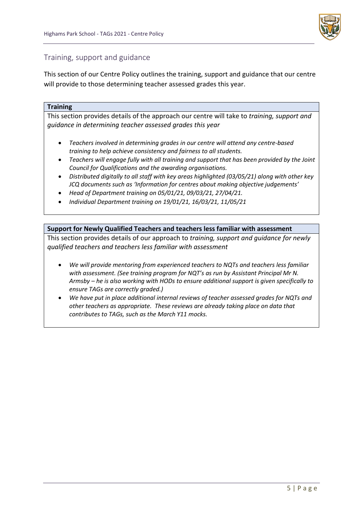

## Training, support and guidance

This section of our Centre Policy outlines the training, support and guidance that our centre will provide to those determining teacher assessed grades this year.

#### **Training**

This section provides details of the approach our centre will take to *training, support and guidance in determining teacher assessed grades this year*

- *Teachers involved in determining grades in our centre will attend any centre-based training to help achieve consistency and fairness to all students.*
- *Teachers will engage fully with all training and support that has been provided by the Joint Council for Qualifications and the awarding organisations.*
- *Distributed digitally to all staff with key areas highlighted (03/05/21) along with other key JCQ documents such as 'Information for centres about making objective judgements'*
- *Head of Department training on 05/01/21, 09/03/21, 27/04/21.*
- *Individual Department training on 19/01/21, 16/03/21, 11/05/21*

#### **Support for Newly Qualified Teachers and teachers less familiar with assessment**

This section provides details of our approach to *training, support and guidance for newly qualified teachers and teachers less familiar with assessment*

- *We will provide mentoring from experienced teachers to NQTs and teachers less familiar with assessment. (See training program for NQT's as run by Assistant Principal Mr N. Armsby – he is also working with HODs to ensure additional support is given specifically to ensure TAGs are correctly graded.)*
- *We have put in place additional internal reviews of teacher assessed grades for NQTs and other teachers as appropriate. These reviews are already taking place on data that contributes to TAGs, such as the March Y11 mocks.*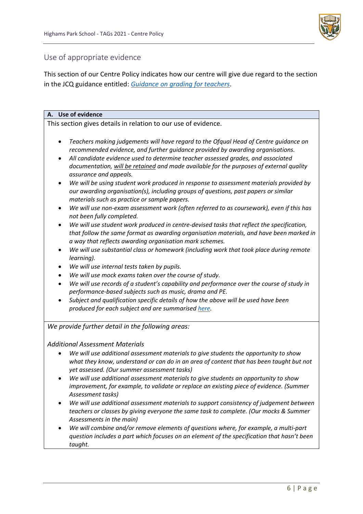

## Use of appropriate evidence

This section of our Centre Policy indicates how our centre will give due regard to the section in the JCQ guidance entitled: *[Guidance on grading for teachers](https://www.jcq.org.uk/wp-content/uploads/2021/04/JCQ-Guidance-on-the-Determination-of-Grades-for-A-AS-Levels-and-GCSEs-Summer-2021.pdf)*.

#### **A. Use of evidence**

This section gives details in relation to our use of evidence.

- *Teachers making judgements will have regard to the Ofqual Head of Centre guidance on recommended evidence, and further guidance provided by awarding organisations.*
- *All candidate evidence used to determine teacher assessed grades, and associated documentation, will be retained and made available for the purposes of external quality assurance and appeals.*
- *We will be using student work produced in response to assessment materials provided by our awarding organisation(s), including groups of questions, past papers or similar materials such as practice or sample papers.*
- *We will use non-exam assessment work (often referred to as coursework), even if this has not been fully completed.*
- *We will use student work produced in centre-devised tasks that reflect the specification, that follow the same format as awarding organisation materials, and have been marked in a way that reflects awarding organisation mark schemes.*
- *We will use substantial class or homework (including work that took place during remote learning).*
- *We will use internal tests taken by pupils.*
- *We will use mock exams taken over the course of study.*
- *We will use records of a student's capability and performance over the course of study in performance-based subjects such as music, drama and PE.*
- *Subject and qualification specific details of how the above will be used have been produced for each subject and are summarise[d here.](https://highamspark.sharepoint.com/sites/hoddocuments/Shared%20Documents/Forms/AllItems.aspx?viewid=0b7a50d2%2Da461%2D4f89%2D863b%2D667a2c3fa4ef&id=%2Fsites%2Fhoddocuments%2FShared%20Documents%2FIn%2DYear%20Tracking%20Data)*

*We provide further detail in the following areas:*

#### *Additional Assessment Materials*

- *We will use additional assessment materials to give students the opportunity to show what they know, understand or can do in an area of content that has been taught but not yet assessed. (Our summer assessment tasks)*
- *We will use additional assessment materials to give students an opportunity to show improvement, for example, to validate or replace an existing piece of evidence. (Summer Assessment tasks)*
- *We will use additional assessment materials to support consistency of judgement between teachers or classes by giving everyone the same task to complete. (Our mocks & Summer Assessments in the main)*
- *We will combine and/or remove elements of questions where, for example, a multi-part question includes a part which focuses on an element of the specification that hasn't been taught.*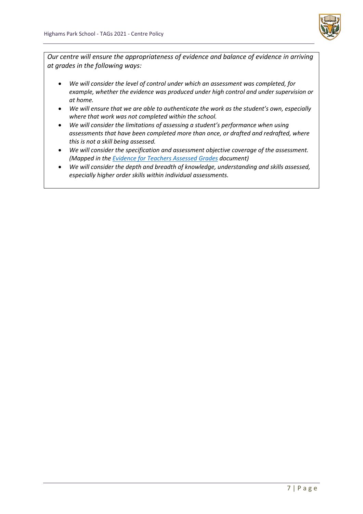

*Our centre will ensure the appropriateness of evidence and balance of evidence in arriving at grades in the following ways:*

- *We will consider the level of control under which an assessment was completed, for example, whether the evidence was produced under high control and under supervision or at home.*
- *We will ensure that we are able to authenticate the work as the student's own, especially where that work was not completed within the school.*
- *We will consider the limitations of assessing a student's performance when using assessments that have been completed more than once, or drafted and redrafted, where this is not a skill being assessed.*
- *We will consider the specification and assessment objective coverage of the assessment. (Mapped in th[e Evidence for Teachers Assessed Grades](https://highamspark.sharepoint.com/sites/hoddocuments/Shared%20Documents/Forms/AllItems.aspx?viewid=0b7a50d2%2Da461%2D4f89%2D863b%2D667a2c3fa4ef&id=%2Fsites%2Fhoddocuments%2FShared%20Documents%2FIn%2DYear%20Tracking%20Data%2FKS5%2FYear%2013) document)*
- *We will consider the depth and breadth of knowledge, understanding and skills assessed, especially higher order skills within individual assessments.*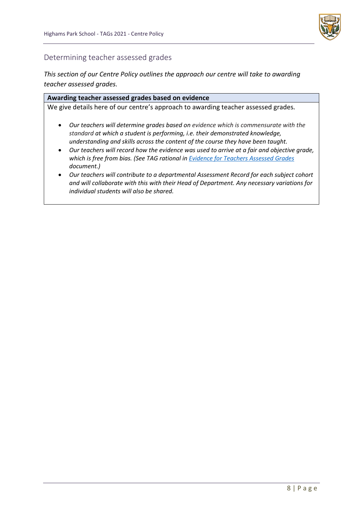

## Determining teacher assessed grades

*This section of our Centre Policy outlines the approach our centre will take to awarding teacher assessed grades.*

#### **Awarding teacher assessed grades based on evidence**

We give details here of our centre's approach to awarding teacher assessed grades*.*

- *Our teachers will determine grades based on evidence which is commensurate with the standard at which a student is performing, i.e. their demonstrated knowledge, understanding and skills across the content of the course they have been taught.*
- *Our teachers will record how the evidence was used to arrive at a fair and objective grade, which is free from bias. (See TAG rational in [Evidence for Teachers Assessed Grades](https://highamspark.sharepoint.com/sites/hoddocuments/Shared%20Documents/Forms/AllItems.aspx?viewid=0b7a50d2%2Da461%2D4f89%2D863b%2D667a2c3fa4ef&id=%2Fsites%2Fhoddocuments%2FShared%20Documents%2FIn%2DYear%20Tracking%20Data) document.)*
- *Our teachers will contribute to a departmental Assessment Record for each subject cohort and will collaborate with this with their Head of Department. Any necessary variations for individual students will also be shared.*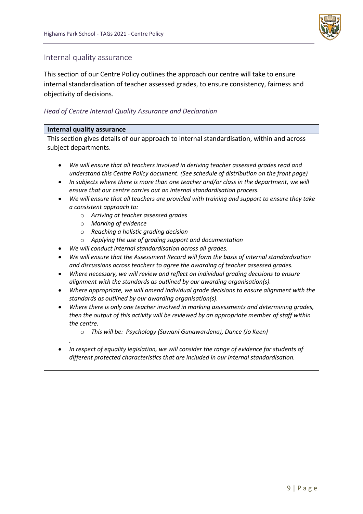

## Internal quality assurance

This section of our Centre Policy outlines the approach our centre will take to ensure internal standardisation of teacher assessed grades, to ensure consistency, fairness and objectivity of decisions.

## *Head of Centre Internal Quality Assurance and Declaration*

#### **Internal quality assurance**

This section gives details of our approach to internal standardisation, within and across subject departments.

- *We will ensure that all teachers involved in deriving teacher assessed grades read and understand this Centre Policy document. (See schedule of distribution on the front page)*
- *In subjects where there is more than one teacher and/or class in the department, we will ensure that our centre carries out an internal standardisation process.*
- *We will ensure that all teachers are provided with training and support to ensure they take a consistent approach to:*
	- o *Arriving at teacher assessed grades*
	- o *Marking of evidence*
	- o *Reaching a holistic grading decision*
	- o *Applying the use of grading support and documentation*
- *We will conduct internal standardisation across all grades.*
- *We will ensure that the Assessment Record will form the basis of internal standardisation and discussions across teachers to agree the awarding of teacher assessed grades.*
- *Where necessary, we will review and reflect on individual grading decisions to ensure alignment with the standards as outlined by our awarding organisation(s).*
- *Where appropriate, we will amend individual grade decisions to ensure alignment with the standards as outlined by our awarding organisation(s).*
- *Where there is only one teacher involved in marking assessments and determining grades, then the output of this activity will be reviewed by an appropriate member of staff within the centre.*
	- o *This will be: Psychology (Suwani Gunawardena), Dance (Jo Keen)*
- *.* • *In respect of equality legislation, we will consider the range of evidence for students of different protected characteristics that are included in our internal standardisation.*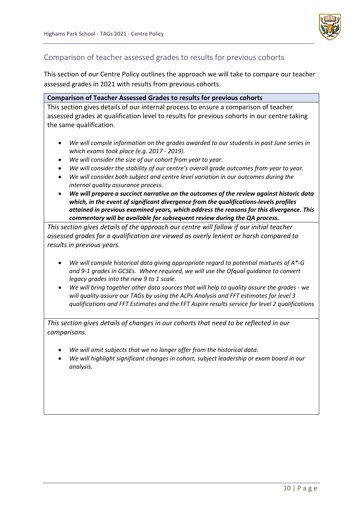

## Comparison of teacher assessed grades to results for previous cohorts

This section of our Centre Policy outlines the approach we will take to compare our teacher assessed grades in 2021 with results from previous cohorts.

#### **Comparison of Teacher Assessed Grades to results for previous cohorts**

This section gives details of our internal process to ensure a comparison of teacher assessed grades at qualification level to results for previous cohorts in our centre taking the same qualification.

- *We will compile information on the grades awarded to our students in past June series in which exams took place (e.g. 2017 - 2019).*
- *We will consider the size of our cohort from year to year.*
- *We will consider the stability of our centre's overall grade outcomes from year to year.*
- *We will consider both subject and centre level variation in our outcomes during the internal quality assurance process.*
- *We will prepare a succinct narrative on the outcomes of the review against historic data which, in the event of significant divergence from the qualifications-levels profiles attained in previous examined years, which address the reasons for this divergence. This commentary will be available for subsequent review during the QA process.*

*This section gives details of the approach our centre will follow if our initial teacher assessed grades for a qualification are viewed as overly lenient or harsh compared to results in previous years.*

- *We will compile historical data giving appropriate regard to potential mixtures of A\*-G and 9-1 grades in GCSEs. Where required, we will use the Ofqual guidance to convert legacy grades into the new 9 to 1 scale.*
- *We will bring together other data sources that will help to quality assure the grades - we will quality assure our TAGs by using the ALPs Analysis and FFT estimates for level 3 qualifications and FFT Estimates and the FFT Aspire results service for level 2 qualifications*

*This section gives details of changes in our cohorts that need to be reflected in our comparisons.* 

- *We will omit subjects that we no longer offer from the historical data.*
- *We will highlight significant changes in cohort, subject leadership or exam board in our analysis.*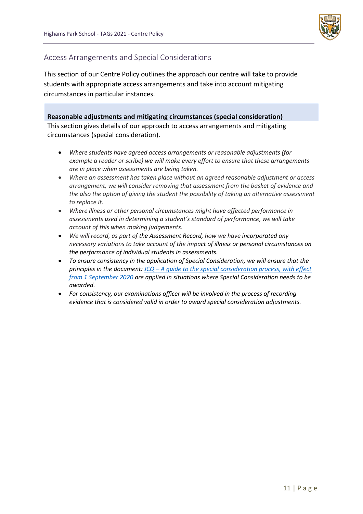

## Access Arrangements and Special Considerations

This section of our Centre Policy outlines the approach our centre will take to provide students with appropriate access arrangements and take into account mitigating circumstances in particular instances.

**Reasonable adjustments and mitigating circumstances (special consideration)**

This section gives details of our approach to access arrangements and mitigating circumstances (special consideration).

- *Where students have agreed access arrangements or reasonable adjustments (for example a reader or scribe) we will make every effort to ensure that these arrangements are in place when assessments are being taken.*
- *Where an assessment has taken place without an agreed reasonable adjustment or access arrangement, we will consider removing that assessment from the basket of evidence and the also the option of giving the student the possibility of taking an alternative assessment to replace it.*
- *Where illness or other personal circumstances might have affected performance in assessments used in determining a student's standard of performance, we will take account of this when making judgements.*
- *We will record, as part of the Assessment Record, how we have incorporated any necessary variations to take account of the impact of illness or personal circumstances on the performance of individual students in assessments.*
- *To ensure consistency in the application of Special Consideration, we will ensure that the principles in the document: JCQ – [A guide to the special consideration process, with effect](https://www.jcq.org.uk/wp-content/uploads/2020/08/A-guide-to-the-spec-con-process-202021-Website-version.pdf)  [from 1 September 2020](https://www.jcq.org.uk/wp-content/uploads/2020/08/A-guide-to-the-spec-con-process-202021-Website-version.pdf) are applied in situations where Special Consideration needs to be awarded.*
- *For consistency, our examinations officer will be involved in the process of recording evidence that is considered valid in order to award special consideration adjustments.*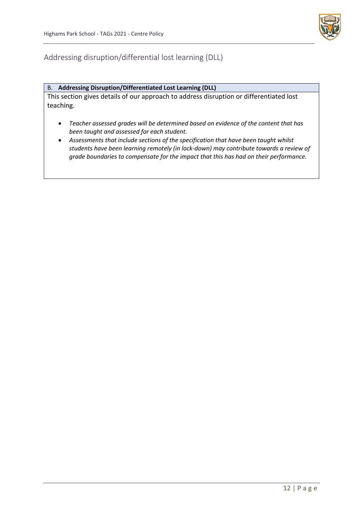

## Addressing disruption/differential lost learning (DLL)

#### B. **Addressing Disruption/Differentiated Lost Learning (DLL)**

This section gives details of our approach to address disruption or differentiated lost teaching.

- *Teacher assessed grades will be determined based on evidence of the content that has been taught and assessed for each student.*
- *Assessments that include sections of the specification that have been taught whilst students have been learning remotely (in lock-down) may contribute towards a review of grade boundaries to compensate for the impact that this has had on their performance.*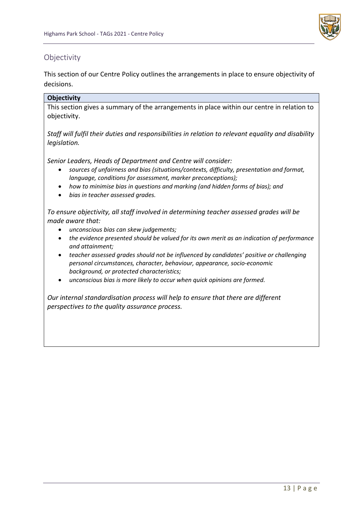

## Objectivity

This section of our Centre Policy outlines the arrangements in place to ensure objectivity of decisions.

## **Objectivity**

This section gives a summary of the arrangements in place within our centre in relation to objectivity.

*Staff will fulfil their duties and responsibilities in relation to relevant equality and disability legislation.*

*Senior Leaders, Heads of Department and Centre will consider:*

- *sources of unfairness and bias (situations/contexts, difficulty, presentation and format, language, conditions for assessment, marker preconceptions);*
- *how to minimise bias in questions and marking (and hidden forms of bias); and*
- *bias in teacher assessed grades.*

*To ensure objectivity, all staff involved in determining teacher assessed grades will be made aware that:*

- *unconscious bias can skew judgements;*
- *the evidence presented should be valued for its own merit as an indication of performance and attainment;*
- *teacher assessed grades should not be influenced by candidates' positive or challenging personal circumstances, character, behaviour, appearance, socio-economic background, or protected characteristics;*
- *unconscious bias is more likely to occur when quick opinions are formed.*

*Our internal standardisation process will help to ensure that there are different perspectives to the quality assurance process.*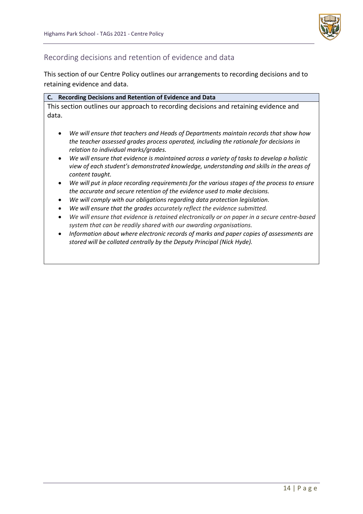

## Recording decisions and retention of evidence and data

This section of our Centre Policy outlines our arrangements to recording decisions and to retaining evidence and data.

|       | C. Recording Decisions and Retention of Evidence and Data                            |
|-------|--------------------------------------------------------------------------------------|
|       | This section outlines our approach to recording decisions and retaining evidence and |
| data. |                                                                                      |

- *We will ensure that teachers and Heads of Departments maintain records that show how the teacher assessed grades process operated, including the rationale for decisions in relation to individual marks/grades.*
- *We will ensure that evidence is maintained across a variety of tasks to develop a holistic view of each student's demonstrated knowledge, understanding and skills in the areas of content taught.*
- *We will put in place recording requirements for the various stages of the process to ensure the accurate and secure retention of the evidence used to make decisions.*
- *We will comply with our obligations regarding data protection legislation.*
- *We will ensure that the grades accurately reflect the evidence submitted.*
- *We will ensure that evidence is retained electronically or on paper in a secure centre-based system that can be readily shared with our awarding organisations.*
- *Information about where electronic records of marks and paper copies of assessments are stored will be collated centrally by the Deputy Principal (Nick Hyde).*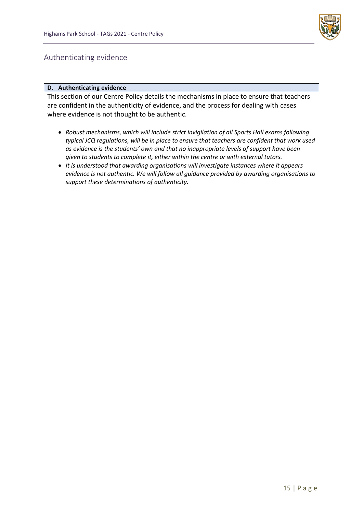

## Authenticating evidence

#### **D. Authenticating evidence**

This section of our Centre Policy details the mechanisms in place to ensure that teachers are confident in the authenticity of evidence, and the process for dealing with cases where evidence is not thought to be authentic.

- *Robust mechanisms, which will include strict invigilation of all Sports Hall exams following typical JCQ regulations, will be in place to ensure that teachers are confident that work used as evidence is the students' own and that no inappropriate levels of support have been given to students to complete it, either within the centre or with external tutors.*
- *It is understood that awarding organisations will investigate instances where it appears evidence is not authentic. We will follow all guidance provided by awarding organisations to support these determinations of authenticity.*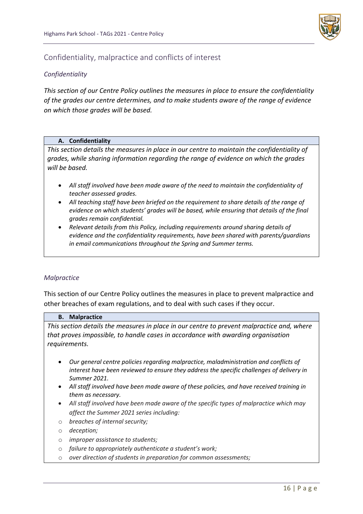

## Confidentiality, malpractice and conflicts of interest

## *Confidentiality*

*This section of our Centre Policy outlines the measures in place to ensure the confidentiality of the grades our centre determines, and to make students aware of the range of evidence on which those grades will be based.*

#### **A. Confidentiality**

*This section details the measures in place in our centre to maintain the confidentiality of grades, while sharing information regarding the range of evidence on which the grades will be based.* 

- *All staff involved have been made aware of the need to maintain the confidentiality of teacher assessed grades.*
- *All teaching staff have been briefed on the requirement to share details of the range of evidence on which students' grades will be based, while ensuring that details of the final grades remain confidential.*
- *Relevant details from this Policy, including requirements around sharing details of evidence and the confidentiality requirements, have been shared with parents/guardians in email communications throughout the Spring and Summer terms.*

#### *Malpractice*

This section of our Centre Policy outlines the measures in place to prevent malpractice and other breaches of exam regulations, and to deal with such cases if they occur.

#### **B. Malpractice**

*This section details the measures in place in our centre to prevent malpractice and, where that proves impossible, to handle cases in accordance with awarding organisation requirements.*

- *Our general centre policies regarding malpractice, maladministration and conflicts of interest have been reviewed to ensure they address the specific challenges of delivery in Summer 2021.*
- *All staff involved have been made aware of these policies, and have received training in them as necessary.*
- *All staff involved have been made aware of the specific types of malpractice which may affect the Summer 2021 series including:*
- o *breaches of internal security;*
- o *deception;*
- o *improper assistance to students;*
- o *failure to appropriately authenticate a student's work;*
- o *over direction of students in preparation for common assessments;*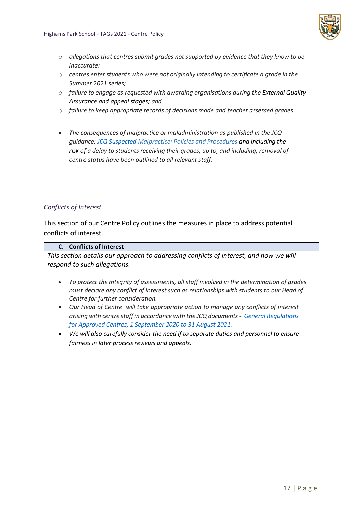

- o *allegations that centres submit grades not supported by evidence that they know to be inaccurate;*
- o *centres enter students who were not originally intending to certificate a grade in the Summer 2021 series;*
- o *failure to engage as requested with awarding organisations during the External Quality Assurance and appeal stages; and*
- o *failure to keep appropriate records of decisions made and teacher assessed grades.*
- *The consequences of malpractice or maladministration as published in the JCQ guidance: [JCQ Suspected](https://www.jcq.org.uk/exams-office/malpractice/jcq-suspected-malpractice-policies-and-procedures-2019-2020) Malpractice: Policies and Procedures and including the risk of a delay to students receiving their grades, up to, and including, removal of centre status have been outlined to all relevant staff.*

## *Conflicts of Interest*

This section of our Centre Policy outlines the measures in place to address potential conflicts of interest.

#### **C. Conflicts of Interest**

*This section details our approach to addressing conflicts of interest, and how we will respond to such allegations.*

- *To protect the integrity of assessments, all staff involved in the determination of grades must declare any conflict of interest such as relationships with students to our Head of Centre for further consideration.*
- *Our Head of Centre will take appropriate action to manage any conflicts of interest arising with centre staff in accordance with the JCQ documents - [General Regulations](https://www.jcq.org.uk/wp-content/uploads/2020/09/Gen_regs_approved_centres_20-21_FINAL.pdf)  [for Approved Centres, 1 September 2020 to 31 August 2021.](https://www.jcq.org.uk/wp-content/uploads/2020/09/Gen_regs_approved_centres_20-21_FINAL.pdf)*
- *We will also carefully consider the need if to separate duties and personnel to ensure fairness in later process reviews and appeals.*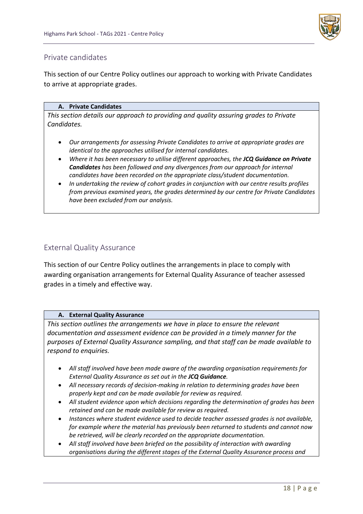

## Private candidates

This section of our Centre Policy outlines our approach to working with Private Candidates to arrive at appropriate grades.

#### **A. Private Candidates**

*This section details our approach to providing and quality assuring grades to Private Candidates.* 

- *Our arrangements for assessing Private Candidates to arrive at appropriate grades are identical to the approaches utilised for internal candidates.*
- *Where it has been necessary to utilise different approaches, the JCQ Guidance on Private Candidates has been followed and any divergences from our approach for internal candidates have been recorded on the appropriate class/student documentation.*
- *In undertaking the review of cohort grades in conjunction with our centre results profiles from previous examined years, the grades determined by our centre for Private Candidates have been excluded from our analysis.*

## External Quality Assurance

This section of our Centre Policy outlines the arrangements in place to comply with awarding organisation arrangements for External Quality Assurance of teacher assessed grades in a timely and effective way.

#### **A. External Quality Assurance**

*This section outlines the arrangements we have in place to ensure the relevant documentation and assessment evidence can be provided in a timely manner for the purposes of External Quality Assurance sampling, and that staff can be made available to respond to enquiries.*

- *All staff involved have been made aware of the awarding organisation requirements for External Quality Assurance as set out in the JCQ Guidance.*
- *All necessary records of decision-making in relation to determining grades have been properly kept and can be made available for review as required.*
- *All student evidence upon which decisions regarding the determination of grades has been retained and can be made available for review as required.*
- *Instances where student evidence used to decide teacher assessed grades is not available, for example where the material has previously been returned to students and cannot now be retrieved, will be clearly recorded on the appropriate documentation.*
- *All staff involved have been briefed on the possibility of interaction with awarding organisations during the different stages of the External Quality Assurance process and*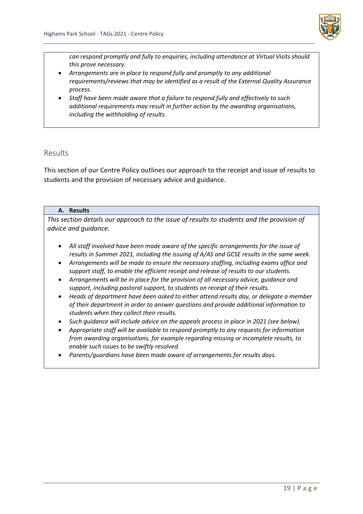

*can respond promptly and fully to enquiries, including attendance at Virtual Visits should this prove necessary.*

- *Arrangements are in place to respond fully and promptly to any additional requirements/reviews that may be identified as a result of the External Quality Assurance process.*
- *Staff have been made aware that a failure to respond fully and effectively to such additional requirements may result in further action by the awarding organisations, including the withholding of results.*

## Results

This section of our Centre Policy outlines our approach to the receipt and issue of results to students and the provision of necessary advice and guidance.

#### **A. Results**

*This section details our approach to the issue of results to students and the provision of advice and guidance.*

- *All staff involved have been made aware of the specific arrangements for the issue of results in Summer 2021, including the issuing of A/AS and GCSE results in the same week.*
- *Arrangements will be made to ensure the necessary staffing, including exams office and support staff, to enable the efficient receipt and release of results to our students.*
- *Arrangements will be in place for the provision of all necessary advice, guidance and support, including pastoral support, to students on receipt of their results.*
- *Heads of department have been asked to either attend results day, or delegate a member of their department in order to answer questions and provide additional information to students when they collect their results.*
- *Such guidance will include advice on the appeals process in place in 2021 (see below).*
- *Appropriate staff will be available to respond promptly to any requests for information from awarding organisations, for example regarding missing or incomplete results, to enable such issues to be swiftly resolved.*
- *Parents/guardians have been made aware of arrangements for results days.*